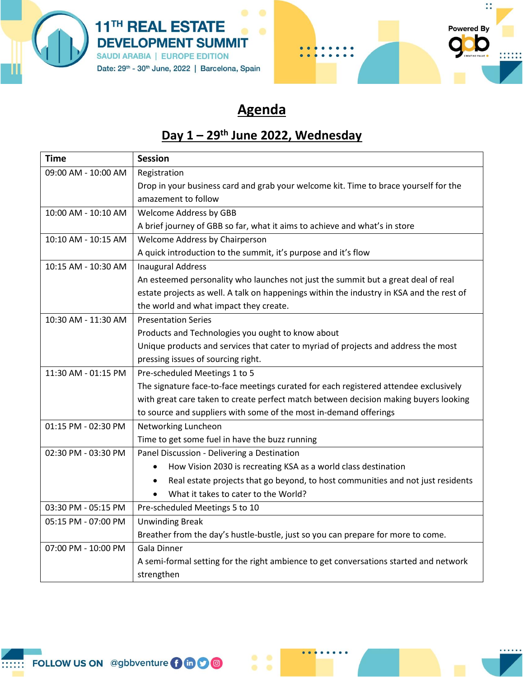



## **Agenda**

## **Day 1 – 29th June 2022, Wednesday**

| <b>Time</b>         | <b>Session</b>                                                                               |
|---------------------|----------------------------------------------------------------------------------------------|
| 09:00 AM - 10:00 AM | Registration                                                                                 |
|                     | Drop in your business card and grab your welcome kit. Time to brace yourself for the         |
|                     | amazement to follow                                                                          |
| 10:00 AM - 10:10 AM | <b>Welcome Address by GBB</b>                                                                |
|                     | A brief journey of GBB so far, what it aims to achieve and what's in store                   |
| 10:10 AM - 10:15 AM | Welcome Address by Chairperson                                                               |
|                     | A quick introduction to the summit, it's purpose and it's flow                               |
| 10:15 AM - 10:30 AM | <b>Inaugural Address</b>                                                                     |
|                     | An esteemed personality who launches not just the summit but a great deal of real            |
|                     | estate projects as well. A talk on happenings within the industry in KSA and the rest of     |
|                     | the world and what impact they create.                                                       |
| 10:30 AM - 11:30 AM | <b>Presentation Series</b>                                                                   |
|                     | Products and Technologies you ought to know about                                            |
|                     | Unique products and services that cater to myriad of projects and address the most           |
|                     | pressing issues of sourcing right.                                                           |
| 11:30 AM - 01:15 PM | Pre-scheduled Meetings 1 to 5                                                                |
|                     | The signature face-to-face meetings curated for each registered attendee exclusively         |
|                     | with great care taken to create perfect match between decision making buyers looking         |
|                     | to source and suppliers with some of the most in-demand offerings                            |
| 01:15 PM - 02:30 PM | Networking Luncheon                                                                          |
|                     | Time to get some fuel in have the buzz running                                               |
| 02:30 PM - 03:30 PM | Panel Discussion - Delivering a Destination                                                  |
|                     | How Vision 2030 is recreating KSA as a world class destination<br>$\bullet$                  |
|                     | Real estate projects that go beyond, to host communities and not just residents<br>$\bullet$ |
|                     | What it takes to cater to the World?<br>$\bullet$                                            |
| 03:30 PM - 05:15 PM | Pre-scheduled Meetings 5 to 10                                                               |
| 05:15 PM - 07:00 PM | <b>Unwinding Break</b>                                                                       |
|                     | Breather from the day's hustle-bustle, just so you can prepare for more to come.             |
| 07:00 PM - 10:00 PM | Gala Dinner                                                                                  |
|                     | A semi-formal setting for the right ambience to get conversations started and network        |
|                     | strengthen                                                                                   |